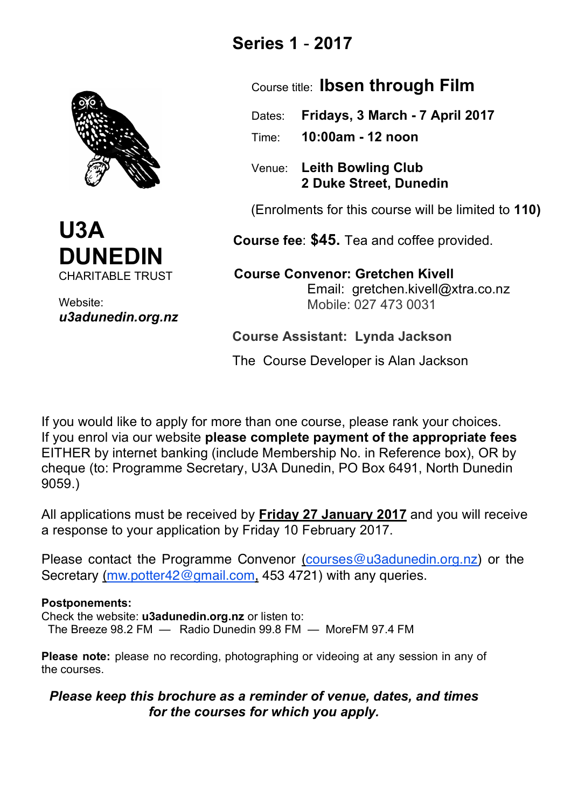



Website: *u3adunedin.org.nz*

# **Series 1** - **2017**

Course title: **Ibsen through Film**

 Dates: **Fridays, 3 March - 7 April 2017** Time: **10:00am - 12 noon** 

 Venue: **Leith Bowling Club 2 Duke Street, Dunedin**

(Enrolments for this course will be limited to **110)**

 **Course fee**: **\$45.** Tea and coffee provided.

 **Course Convenor: Gretchen Kivell** Email: gretchen.kivell@xtra.co.nz Mobile: 027 473 0031

**Course Assistant: Lynda Jackson** 

The Course Developer is Alan Jackson

If you would like to apply for more than one course, please rank your choices. If you enrol via our website **please complete payment of the appropriate fees** EITHER by internet banking (include Membership No. in Reference box), OR by cheque (to: Programme Secretary, U3A Dunedin, PO Box 6491, North Dunedin 9059.)

All applications must be received by **Friday 27 January 2017** and you will receive a response to your application by Friday 10 February 2017.

Please contact the Programme Convenor (courses@u3adunedin.org.nz) or the Secretary (mw.potter42@gmail.com, 453 4721) with any queries.

## **Postponements:**

Check the website: **u3adunedin.org.nz** or listen to: The Breeze 98.2 FM — Radio Dunedin 99.8 FM — MoreFM 97.4 FM

**Please note:** please no recording, photographing or videoing at any session in any of the courses.

## *Please keep this brochure as a reminder of venue, dates, and times for the courses for which you apply.*